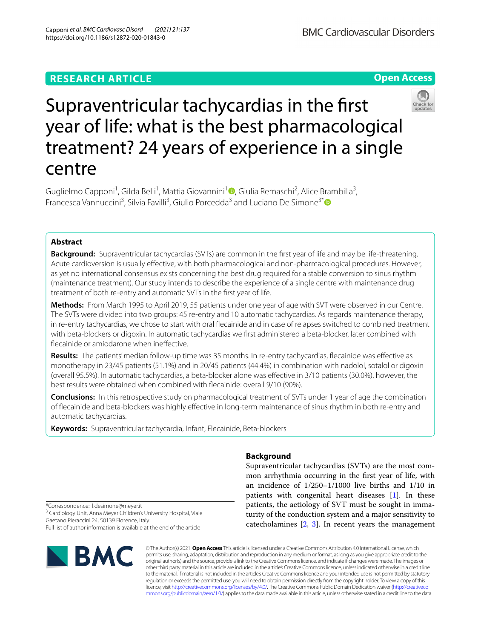## **RESEARCH ARTICLE**

**Open Access**



# Supraventricular tachycardias in the frst year of life: what is the best pharmacological treatment? 24 years of experience in a single centre

Guglielmo Capponi<sup>1</sup>[,](https://orcid.org/0000-0001-9568-6882) Gilda Belli<sup>1</sup>, Mattia Giovannini<sup>1</sup><sup>0</sup>, Giulia Remaschi<sup>2</sup>, Alice Brambilla<sup>3</sup>, Francesca Vannuccini<sup>3</sup>, Silvia Favilli<sup>3</sup>, Giulio Porcedda<sup>3</sup> and Luciano De Simone<sup>3[\\*](http://orcid.org/0000-0002-6112-191X)</sup>

## **Abstract**

**Background:** Supraventricular tachycardias (SVTs) are common in the frst year of life and may be life-threatening. Acute cardioversion is usually efective, with both pharmacological and non-pharmacological procedures. However, as yet no international consensus exists concerning the best drug required for a stable conversion to sinus rhythm (maintenance treatment). Our study intends to describe the experience of a single centre with maintenance drug treatment of both re-entry and automatic SVTs in the frst year of life.

**Methods:** From March 1995 to April 2019, 55 patients under one year of age with SVT were observed in our Centre. The SVTs were divided into two groups: 45 re-entry and 10 automatic tachycardias. As regards maintenance therapy, in re-entry tachycardias, we chose to start with oral fecainide and in case of relapses switched to combined treatment with beta-blockers or digoxin. In automatic tachycardias we frst administered a beta-blocker, later combined with flecainide or amiodarone when ineffective.

**Results:** The patients' median follow-up time was 35 months. In re-entry tachycardias, fecainide was efective as monotherapy in 23/45 patients (51.1%) and in 20/45 patients (44.4%) in combination with nadolol, sotalol or digoxin (overall 95.5%). In automatic tachycardias, a beta-blocker alone was efective in 3/10 patients (30.0%), however, the best results were obtained when combined with fecainide: overall 9/10 (90%).

**Conclusions:** In this retrospective study on pharmacological treatment of SVTs under 1 year of age the combination of fecainide and beta-blockers was highly efective in long-term maintenance of sinus rhythm in both re-entry and automatic tachycardias.

**Keywords:** Supraventricular tachycardia, Infant, Flecainide, Beta-blockers

## **Background**

Supraventricular tachycardias (SVTs) are the most common arrhythmia occurring in the frst year of life, with an incidence of 1/250–1/1000 live births and 1/10 in patients with congenital heart diseases [\[1\]](#page-7-0). In these patients, the aetiology of SVT must be sought in immaturity of the conduction system and a major sensitivity to catecholamines [\[2](#page-7-1), [3](#page-7-2)]. In recent years the management

\*Correspondence: l.desimone@meyer.it <sup>3</sup> Cardiology Unit, Anna Meyer Children's University Hospital, Viale Gaetano Pieraccini 24, 50139 Florence, Italy Full list of author information is available at the end of the article



© The Author(s) 2021. **Open Access** This article is licensed under a Creative Commons Attribution 4.0 International License, which permits use, sharing, adaptation, distribution and reproduction in any medium or format, as long as you give appropriate credit to the original author(s) and the source, provide a link to the Creative Commons licence, and indicate if changes were made. The images or other third party material in this article are included in the article's Creative Commons licence, unless indicated otherwise in a credit line to the material. If material is not included in the article's Creative Commons licence and your intended use is not permitted by statutory regulation or exceeds the permitted use, you will need to obtain permission directly from the copyright holder. To view a copy of this licence, visit [http://creativecommons.org/licenses/by/4.0/.](http://creativecommons.org/licenses/by/4.0/) The Creative Commons Public Domain Dedication waiver ([http://creativeco](http://creativecommons.org/publicdomain/zero/1.0/) [mmons.org/publicdomain/zero/1.0/](http://creativecommons.org/publicdomain/zero/1.0/)) applies to the data made available in this article, unless otherwise stated in a credit line to the data.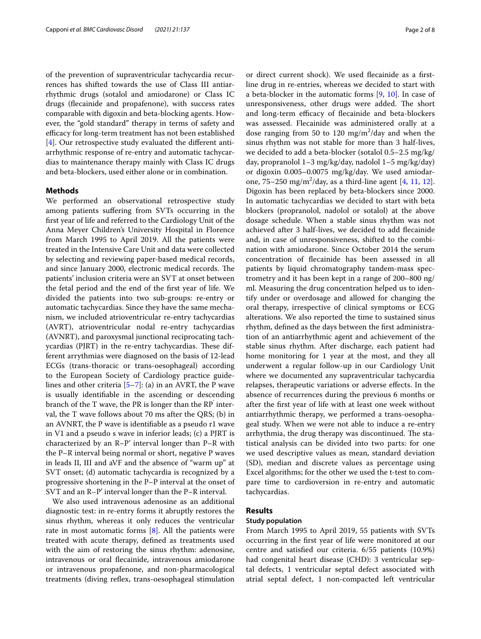of the prevention of supraventricular tachycardia recurrences has shifted towards the use of Class III antiarrhythmic drugs (sotalol and amiodarone) or Class IC drugs (fecainide and propafenone), with success rates comparable with digoxin and beta-blocking agents. However, the "gold standard" therapy in terms of safety and efficacy for long-term treatment has not been established [[4\]](#page-7-3). Our retrospective study evaluated the diferent antiarrhythmic response of re-entry and automatic tachycardias to maintenance therapy mainly with Class IC drugs and beta-blockers, used either alone or in combination.

#### **Methods**

We performed an observational retrospective study among patients sufering from SVTs occurring in the frst year of life and referred to the Cardiology Unit of the Anna Meyer Children's University Hospital in Florence from March 1995 to April 2019. All the patients were treated in the Intensive Care Unit and data were collected by selecting and reviewing paper-based medical records, and since January 2000, electronic medical records. The patients' inclusion criteria were an SVT at onset between the fetal period and the end of the frst year of life. We divided the patients into two sub-groups: re-entry or automatic tachycardias. Since they have the same mechanism, we included atrioventricular re-entry tachycardias (AVRT), atrioventricular nodal re-entry tachycardias (AVNRT), and paroxysmal junctional reciprocating tachycardias (PJRT) in the re-entry tachycardias. These different arrythmias were diagnosed on the basis of 12-lead ECGs (trans-thoracic or trans-oesophageal) according to the European Society of Cardiology practice guidelines and other criteria [\[5](#page-7-4)[–7\]](#page-7-5): (a) in an AVRT, the P wave is usually identifable in the ascending or descending branch of the T wave, the PR is longer than the  $\mathbb{RP}^{7}$  interval, the T wave follows about 70 ms after the QRS; (b) in an AVNRT, the P wave is identifable as a pseudo r1 wave in V1 and a pseudo s wave in inferior leads; (c) a PJRT is characterized by an R–P' interval longer than P–R with the P–R interval being normal or short, negative P waves in leads II, III and aVF and the absence of "warm up" at SVT onset; (d) automatic tachycardia is recognized by a progressive shortening in the P–P interval at the onset of SVT and an R–P' interval longer than the P–R interval.

We also used intravenous adenosine as an additional diagnostic test: in re-entry forms it abruptly restores the sinus rhythm, whereas it only reduces the ventricular rate in most automatic forms  $[8]$  $[8]$ . All the patients were treated with acute therapy, defned as treatments used with the aim of restoring the sinus rhythm: adenosine, intravenous or oral fecainide, intravenous amiodarone or intravenous propafenone, and non-pharmacological treatments (diving reflex, trans-oesophageal stimulation

or direct current shock). We used fecainide as a frstline drug in re-entries, whereas we decided to start with a beta-blocker in the automatic forms [\[9](#page-7-7), [10](#page-7-8)]. In case of unresponsiveness, other drugs were added. The short and long-term efficacy of flecainide and beta-blockers was assessed. Flecainide was administered orally at a dose ranging from 50 to 120  $\text{mg/m}^2/\text{day}$  and when the sinus rhythm was not stable for more than 3 half-lives, we decided to add a beta-blocker (sotalol 0.5–2.5 mg/kg/ day, propranolol 1–3 mg/kg/day, nadolol 1–5 mg/kg/day) or digoxin 0.005–0.0075 mg/kg/day. We used amiodar-one, 75–250 mg/m<sup>2</sup>/day, as a third-line agent [\[4](#page-7-3), [11](#page-7-8), [12](#page-7-9)]. Digoxin has been replaced by beta-blockers since 2000. In automatic tachycardias we decided to start with beta blockers (propranolol, nadolol or sotalol) at the above dosage schedule. When a stable sinus rhythm was not achieved after 3 half-lives, we decided to add fecainide and, in case of unresponsiveness, shifted to the combination with amiodarone. Since October 2014 the serum concentration of fecainide has been assessed in all patients by liquid chromatography tandem-mass spectrometry and it has been kept in a range of 200–800 ng/ ml. Measuring the drug concentration helped us to identify under or overdosage and allowed for changing the oral therapy, irrespective of clinical symptoms or ECG alterations. We also reported the time to sustained sinus rhythm, defned as the days between the frst administration of an antiarrhythmic agent and achievement of the stable sinus rhythm. After discharge, each patient had home monitoring for 1 year at the most, and they all underwent a regular follow-up in our Cardiology Unit where we documented any supraventricular tachycardia relapses, therapeutic variations or adverse efects. In the absence of recurrences during the previous 6 months or after the frst year of life with at least one week without antiarrhythmic therapy, we performed a trans-oesophageal study. When we were not able to induce a re-entry arrhythmia, the drug therapy was discontinued. The statistical analysis can be divided into two parts: for one we used descriptive values as mean, standard deviation (SD), median and discrete values as percentage using Excel algorithms; for the other we used the t-test to compare time to cardioversion in re-entry and automatic tachycardias.

#### **Results**

#### **Study population**

From March 1995 to April 2019, 55 patients with SVTs occurring in the frst year of life were monitored at our centre and satisfed our criteria. 6/55 patients (10.9%) had congenital heart disease (CHD): 3 ventricular septal defects, 1 ventricular septal defect associated with atrial septal defect, 1 non-compacted left ventricular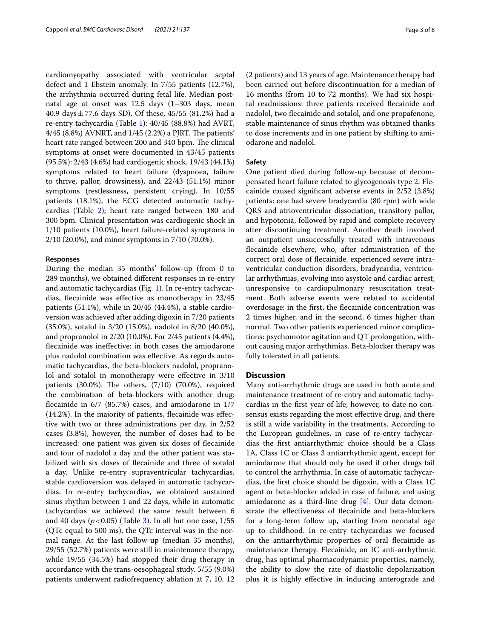cardiomyopathy associated with ventricular septal defect and 1 Ebstein anomaly. In 7/55 patients (12.7%), the arrhythmia occurred during fetal life. Median postnatal age at onset was 12.5 days (1–303 days, mean 40.9 days  $\pm$  77.6 days SD). Of these, 45/55 (81.2%) had a re-entry tachycardia (Table [1](#page-3-0)): 40/45 (88.8%) had AVRT,  $4/45$  (8.8%) AVNRT, and  $1/45$  (2.2%) a PJRT. The patients' heart rate ranged between 200 and 340 bpm. The clinical symptoms at onset were documented in 43/45 patients (95.5%): 2/43 (4.6%) had cardiogenic shock, 19/43 (44.1%) symptoms related to heart failure (dyspnoea, failure to thrive, pallor, drowsiness), and 22/43 (51.1%) minor symptoms (restlessness, persistent crying). In 10/55 patients (18.1%), the ECG detected automatic tachycardias (Table [2\)](#page-4-0); heart rate ranged between 180 and 300 bpm. Clinical presentation was cardiogenic shock in 1/10 patients (10.0%), heart failure-related symptoms in 2/10 (20.0%), and minor symptoms in 7/10 (70.0%).

#### **Responses**

During the median 35 months' follow-up (from 0 to 289 months), we obtained diferent responses in re-entry and automatic tachycardias (Fig. [1](#page-4-1)). In re-entry tachycardias, fecainide was efective as monotherapy in 23/45 patients (51.1%), while in 20/45 (44.4%), a stable cardioversion was achieved after adding digoxin in 7/20 patients (35.0%), sotalol in 3/20 (15.0%), nadolol in 8/20 (40.0%), and propranolol in 2/20 (10.0%). For 2/45 patients (4.4%), fecainide was inefective: in both cases the amiodarone plus nadolol combination was efective. As regards automatic tachycardias, the beta-blockers nadolol, propranolol and sotalol in monotherapy were effective in  $3/10$ patients  $(30.0\%)$ . The others,  $(7/10)$   $(70.0\%)$ , required the combination of beta-blockers with another drug: fecainide in 6/7 (85.7%) cases, and amiodarone in 1/7 (14.2%). In the majority of patients, fecainide was efective with two or three administrations per day, in 2/52 cases (3.8%), however, the number of doses had to be increased: one patient was given six doses of fecainide and four of nadolol a day and the other patient was stabilized with six doses of fecainide and three of sotalol a day. Unlike re-entry supraventricular tachycardias, stable cardioversion was delayed in automatic tachycardias. In re-entry tachycardias, we obtained sustained sinus rhythm between 1 and 22 days, while in automatic tachycardias we achieved the same result between 6 and 40 days  $(p<0.05)$  (Table [3\)](#page-5-0). In all but one case,  $1/55$ (QTc equal to 500 ms), the QTc interval was in the normal range. At the last follow-up (median 35 months), 29/55 (52.7%) patients were still in maintenance therapy, while 19/55 (34.5%) had stopped their drug therapy in accordance with the trans-oesophageal study. 5/55 (9.0%) patients underwent radiofrequency ablation at 7, 10, 12

(2 patients) and 13 years of age. Maintenance therapy had been carried out before discontinuation for a median of 16 months (from 10 to 72 months). We had six hospital readmissions: three patients received fecainide and nadolol, two fecainide and sotalol, and one propafenone; stable maintenance of sinus rhythm was obtained thanks to dose increments and in one patient by shifting to amiodarone and nadolol.

#### **Safety**

One patient died during follow-up because of decompensated heart failure related to glycogenosis type 2. Flecainide caused signifcant adverse events in 2/52 (3.8%) patients: one had severe bradycardia (80 rpm) with wide QRS and atrioventricular dissociation, transitory pallor, and hypotonia, followed by rapid and complete recovery after discontinuing treatment. Another death involved an outpatient unsuccessfully treated with intravenous fecainide elsewhere, who, after administration of the correct oral dose of fecainide, experienced severe intraventricular conduction disorders, bradycardia, ventricular arrhythmias, evolving into asystole and cardiac arrest, unresponsive to cardiopulmonary resuscitation treatment. Both adverse events were related to accidental overdosage: in the frst, the fecainide concentration was 2 times higher, and in the second, 6 times higher than normal. Two other patients experienced minor complications: psychomotor agitation and QT prolongation, without causing major arrhythmias. Beta-blocker therapy was fully tolerated in all patients.

#### **Discussion**

Many anti-arrhythmic drugs are used in both acute and maintenance treatment of re-entry and automatic tachycardias in the frst year of life; however, to date no consensus exists regarding the most efective drug, and there is still a wide variability in the treatments. According to the European guidelines, in case of re-entry tachycardias the frst antiarrhythmic choice should be a Class 1A, Class 1C or Class 3 antiarrhythmic agent, except for amiodarone that should only be used if other drugs fail to control the arrhythmia. In case of automatic tachycardias, the frst choice should be digoxin, with a Class 1C agent or beta-blocker added in case of failure, and using amiodarone as a third-line drug [\[4\]](#page-7-3). Our data demonstrate the efectiveness of fecainide and beta-blockers for a long-term follow up, starting from neonatal age up to childhood. In re-entry tachycardias we focused on the antiarrhythmic properties of oral fecainide as maintenance therapy. Flecainide, an IC anti-arrhythmic drug, has optimal pharmacodynamic properties, namely, the ability to slow the rate of diastolic depolarization plus it is highly efective in inducing anterograde and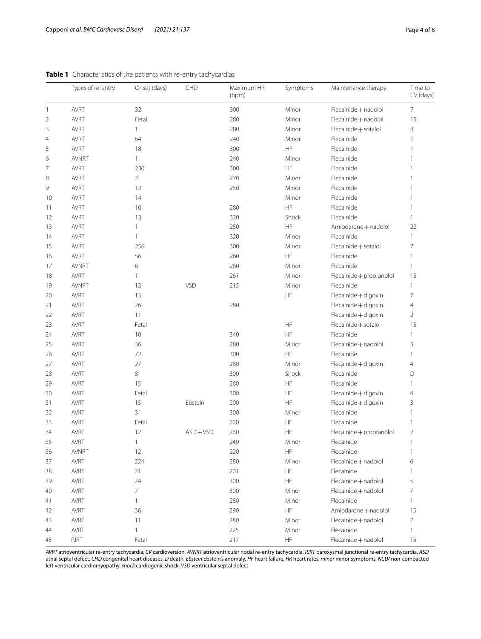|                | Types of re-entry | Onset (days)   | CHD       | Maximum HR<br>(bpm) | Symptoms                     | Maintenance therapy      | Time to<br>CV (days) |
|----------------|-------------------|----------------|-----------|---------------------|------------------------------|--------------------------|----------------------|
| $\overline{1}$ | <b>AVRT</b>       | 32             |           | 300                 | Minor                        | Flecainide + nadolol     | $\overline{7}$       |
| $\overline{2}$ | AVRT              | Fetal          |           | 280                 | Minor                        | Flecainide + nadolol     | 15                   |
| 3              | AVRT              | 1              |           | 280                 | Minor                        | Flecainide + sotalol     | 8                    |
| $\overline{4}$ | <b>AVRT</b>       | 64             |           | 240                 | Minor                        | Flecainide               | 1                    |
| 5              | AVRT              | 18             |           | 300                 | HF                           | Flecainide               |                      |
| 6              | <b>AVNRT</b>      | 1              |           | 240                 | Minor                        | Flecainide               |                      |
| 7              | AVRT              | 230            |           | 300                 | HF                           | Flecainide               |                      |
| 8              | <b>AVRT</b>       | $\overline{2}$ |           | 270                 | Minor                        | Flecainide               |                      |
| 9              | <b>AVRT</b>       | 12             |           | 250                 | Minor                        | Flecainide               |                      |
| 10             | AVRT              | 14             |           |                     | Minor                        | Flecainide               |                      |
| 11             | AVRT              | 10             |           | 280                 | HF                           | Flecainide               | 1                    |
| 12             | AVRT              | 13             |           | 320                 | Shock                        | Flecainide               | 1                    |
| 13             | AVRT              | $\mathbf{1}$   |           | 250                 | HF                           | Amiodarone + nadolol     | 22                   |
| 14             | AVRT              | $\mathbf{1}$   |           | 320                 | Minor                        | Flecainide               | 1                    |
| 15             | AVRT              | 256            |           | 300                 | Minor                        | Flecainide + sotalol     | 7                    |
| 16             | AVRT              | 56             |           | 260                 | HF                           | Flecainide               | 1                    |
| 17             | <b>AVNRT</b>      | 6              |           | 260                 | Minor                        | Flecainide               | 1                    |
| 18             | AVRT              | $\mathbf{1}$   |           | 261                 | Minor                        | Flecainide + propranolol | 15                   |
| 19             | <b>AVNRT</b>      | 13             | VSD       | 215                 | Minor                        | Flecainide               | 1                    |
| 20             | <b>AVRT</b>       | 15             |           |                     | HF                           | Flecainide + digoxin     | $\overline{7}$       |
| 21             | <b>AVRT</b>       | 26             |           | 280                 |                              | Flecainide + digoxin     | 4                    |
| 22             | <b>AVRT</b>       | 11             |           |                     |                              | Flecainide + digoxin     | $\overline{2}$       |
| 23             | <b>AVRT</b>       | Fetal          |           |                     | HF                           | Flecainide + sotalol     | 15                   |
| 24             | <b>AVRT</b>       | 10             |           | 340                 | HF                           | Flecainide               | 1                    |
| 25             | AVRT              | 36             |           | 280                 | Minor                        | Flecainide + nadolol     | 3                    |
| 26             | AVRT              | 72             |           | 300                 | HF                           | Flecainide               | $\mathbf{1}$         |
| 27             | <b>AVRT</b>       | 27             |           | 280                 | Minor                        | Flecainide + digoxin     | 4                    |
| 28             | <b>AVRT</b>       | 8              |           | 300                 | Shock                        | Flecainide               | D                    |
| 29             | AVRT              | 15             |           | 260                 | HF                           | Flecainide               |                      |
| 30             | <b>AVRT</b>       | Fetal          |           | 300                 | HF                           | Flecainide + digoxin     | 4                    |
| 31             | AVRT              | 15             | Ebstein   | 200                 | HF                           | Flecainide + digoxin     | 3                    |
| 32             | AVRT              | 3              |           | 300                 | Minor                        | Flecainide               |                      |
| 33             | <b>AVRT</b>       | Fetal          |           | 220                 | HF                           | Flecainide               |                      |
| 34             | <b>AVRT</b>       | 12             | $ASD+VSD$ | 260                 | HF                           | Flecainide + propranolol | 7                    |
| 35             | <b>AVRT</b>       | 1              |           | 240                 | Minor                        | Flecainide               |                      |
| 36             | <b>AVNRT</b>      | 12             |           | 220                 | HF                           | Flecainide               | $\mathbf{1}$         |
| 37             | <b>AVRT</b>       | 224            |           | 280                 | Minor                        | Flecainide + nadolol     | 6                    |
| 38             | AVRT              | 21             |           | 201                 | HF                           | Flecainide               |                      |
| 39             | AVRT              | 24             |           | 300                 | HF                           | Flecainide + nadolol     | 5                    |
| 40             | AVRT              | $\overline{7}$ |           | 300                 | Minor                        | Flecainide + nadolol     | 7                    |
| 41             | AVRT              | 1              |           | 280                 | Minor                        | Flecainide               |                      |
| 42             | AVRT              | 36             |           | 290                 | $\mathsf{HF}% _{\mathsf{F}}$ | Amiodarone + nadolol     | 15                   |
| 43             | AVRT              | 11             |           | 280                 | Minor                        | Flecainide + nadolol     | 7                    |
| 44             | <b>AVRT</b>       | 1              |           | 225                 | Minor                        | Flecainide               | 1                    |
| 45             | PJRT              | Fetal          |           | 217                 | $\mathsf{HF}% _{\mathsf{F}}$ | Flecainide + nadolol     | 15                   |

<span id="page-3-0"></span>

|  |  | Table 1 Characteristics of the patients with re-entry tachycardias |
|--|--|--------------------------------------------------------------------|
|--|--|--------------------------------------------------------------------|

*AVRT* atrioventricular re-entry tachycardia, *CV* cardioversion, *AVNRT* atrioventricular nodal re-entry tachycardia, *PJRT* paroxysmal junctional re-entry tachycardia, *ASD* atrial septal defect, *CHD* congenital heart diseases, *D* death, *Ebstein* Ebstein's anomaly, *HF* heart failure, *HR* heart rates, *minor* minor symptoms, *NCLV* non-compacted left ventricular cardiomyopathy, *shock* cardiogenic shock, *VSD* ventricular septal defect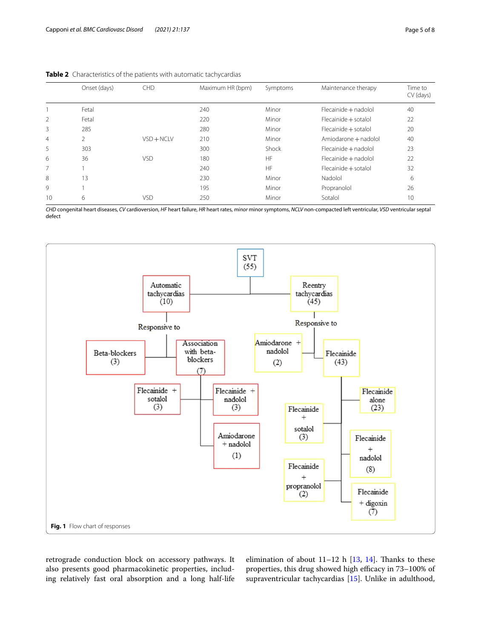|                | Onset (days) | <b>CHD</b>   | Maximum HR (bpm) | Symptoms  | Maintenance therapy  | Time to<br>CV (days) |
|----------------|--------------|--------------|------------------|-----------|----------------------|----------------------|
|                | Fetal        |              | 240              | Minor     | Flecainide + nadolol | 40                   |
| 2              | Fetal        |              | 220              | Minor     | Flecainide + sotalol | 22                   |
| 3              | 285          |              | 280              | Minor     | Flecainide + sotalol | 20                   |
| $\overline{4}$ | 2            | $VSD + NCLV$ | 210              | Minor     | Amiodarone + nadolol | 40                   |
| 5              | 303          |              | 300              | Shock     | Flecainide + nadolol | 23                   |
| 6              | 36           | <b>VSD</b>   | 180              | <b>HF</b> | Flecainide + nadolol | 22                   |
| 7              |              |              | 240              | <b>HF</b> | Flecainide + sotalol | 32                   |
| 8              | 13           |              | 230              | Minor     | Nadolol              | 6                    |
| 9              |              |              | 195              | Minor     | Propranolol          | 26                   |
| 10             | 6            | VSD          | 250              | Minor     | Sotalol              | 10                   |

<span id="page-4-0"></span>**Table 2** Characteristics of the patients with automatic tachycardias

*CHD* congenital heart diseases, *CV* cardioversion, *HF* heart failure, *HR* heart rates, *minor* minor symptoms, *NCLV* non-compacted left ventricular, *VSD* ventricular septal defect



<span id="page-4-1"></span>retrograde conduction block on accessory pathways. It also presents good pharmacokinetic properties, including relatively fast oral absorption and a long half-life elimination of about  $11-12$  h  $[13, 14]$  $[13, 14]$  $[13, 14]$  $[13, 14]$ . Thanks to these properties, this drug showed high efficacy in 73-100% of supraventricular tachycardias [\[15](#page-7-12)]. Unlike in adulthood,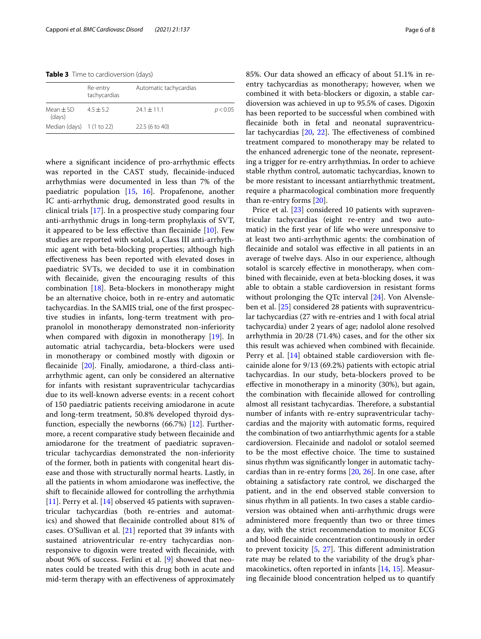<span id="page-5-0"></span>**Table 3** Time to cardioversion (days)

|                                     | Re-entry<br>tachycardias | Automatic tachycardias |          |
|-------------------------------------|--------------------------|------------------------|----------|
| $Mean \pm SD$<br>(days)             | $4.5 + 5.2$              | $241 + 111$            | p < 0.05 |
| Median (days) $1(1 \text{ to } 22)$ |                          | 22.5 (6 to 40)         |          |

where a signifcant incidence of pro-arrhythmic efects was reported in the CAST study, fecainide-induced arrhythmias were documented in less than 7% of the paediatric population [\[15,](#page-7-12) [16](#page-7-13)]. Propafenone, another IC anti-arrhythmic drug, demonstrated good results in clinical trials [\[17\]](#page-7-14). In a prospective study comparing four anti-arrhythmic drugs in long-term prophylaxis of SVT, it appeared to be less effective than flecainide  $[10]$  $[10]$ . Few studies are reported with sotalol, a Class III anti-arrhythmic agent with beta-blocking properties; although high efectiveness has been reported with elevated doses in paediatric SVTs, we decided to use it in combination with fecainide, given the encouraging results of this combination [[18\]](#page-7-15). Beta-blockers in monotherapy might be an alternative choice, both in re-entry and automatic tachycardias. In the SAMIS trial, one of the frst prospective studies in infants, long-term treatment with propranolol in monotherapy demonstrated non-inferiority when compared with digoxin in monotherapy [\[19\]](#page-7-16). In automatic atrial tachycardia, beta-blockers were used in monotherapy or combined mostly with digoxin or fecainide [\[20\]](#page-7-17). Finally, amiodarone, a third-class antiarrhythmic agent, can only be considered an alternative for infants with resistant supraventricular tachycardias due to its well-known adverse events: in a recent cohort of 150 paediatric patients receiving amiodarone in acute and long-term treatment, 50.8% developed thyroid dysfunction, especially the newborns (66.7%) [[12](#page-7-9)]. Furthermore, a recent comparative study between fecainide and amiodarone for the treatment of paediatric supraventricular tachycardias demonstrated the non-inferiority of the former, both in patients with congenital heart disease and those with structurally normal hearts. Lastly, in all the patients in whom amiodarone was inefective, the shift to fecainide allowed for controlling the arrhythmia [[11\]](#page-7-18). Perry et al. [\[14\]](#page-7-11) observed 45 patients with supraventricular tachycardias (both re-entries and automatics) and showed that fecainide controlled about 81% of cases. O'Sullivan et al. [[21\]](#page-7-19) reported that 39 infants with sustained atrioventricular re-entry tachycardias nonresponsive to digoxin were treated with fecainide, with about 96% of success. Ferlini et al. [[9](#page-7-7)] showed that neonates could be treated with this drug both in acute and mid-term therapy with an efectiveness of approximately 85%. Our data showed an efficacy of about 51.1% in reentry tachycardias as monotherapy; however, when we combined it with beta-blockers or digoxin, a stable cardioversion was achieved in up to 95.5% of cases. Digoxin has been reported to be successful when combined with fecainide both in fetal and neonatal supraventricular tachycardias  $[20, 22]$  $[20, 22]$  $[20, 22]$  $[20, 22]$ . The effectiveness of combined treatment compared to monotherapy may be related to the enhanced adrenergic tone of the neonate, representing a trigger for re-entry arrhythmias**.** In order to achieve stable rhythm control, automatic tachycardias, known to be more resistant to incessant antiarrhythmic treatment, require a pharmacological combination more frequently than re-entry forms [[20](#page-7-17)].

Price et al. [\[23](#page-7-21)] considered 10 patients with supraventricular tachycardias (eight re-entry and two automatic) in the frst year of life who were unresponsive to at least two anti-arrhythmic agents: the combination of fecainide and sotalol was efective in all patients in an average of twelve days. Also in our experience, although sotalol is scarcely efective in monotherapy, when combined with fecainide, even at beta-blocking doses, it was able to obtain a stable cardioversion in resistant forms without prolonging the QTc interval [\[24\]](#page-7-22). Von Alvensleben et al. [[25](#page-7-23)] considered 28 patients with supraventricular tachycardias (27 with re-entries and 1 with focal atrial tachycardia) under 2 years of age; nadolol alone resolved arrhythmia in 20/28 (71.4%) cases, and for the other six this result was achieved when combined with fecainide. Perry et al. [[14\]](#page-7-11) obtained stable cardioversion with flecainide alone for 9/13 (69.2%) patients with ectopic atrial tachycardias. In our study, beta-blockers proved to be efective in monotherapy in a minority (30%), but again, the combination with fecainide allowed for controlling almost all resistant tachycardias. Therefore, a substantial number of infants with re-entry supraventricular tachycardias and the majority with automatic forms, required the combination of two antiarrhythmic agents for a stable cardioversion. Flecainide and nadolol or sotalol seemed to be the most effective choice. The time to sustained sinus rhythm was signifcantly longer in automatic tachycardias than in re-entry forms [[20,](#page-7-17) [26\]](#page-7-24). In one case, after obtaining a satisfactory rate control, we discharged the patient, and in the end observed stable conversion to sinus rhythm in all patients. In two cases a stable cardioversion was obtained when anti-arrhythmic drugs were administered more frequently than two or three times a day, with the strict recommendation to monitor ECG and blood fecainide concentration continuously in order to prevent toxicity  $[5, 27]$  $[5, 27]$  $[5, 27]$  $[5, 27]$ . This different administration rate may be related to the variability of the drug's pharmacokinetics, often reported in infants [\[14](#page-7-11), [15\]](#page-7-12). Measuring fecainide blood concentration helped us to quantify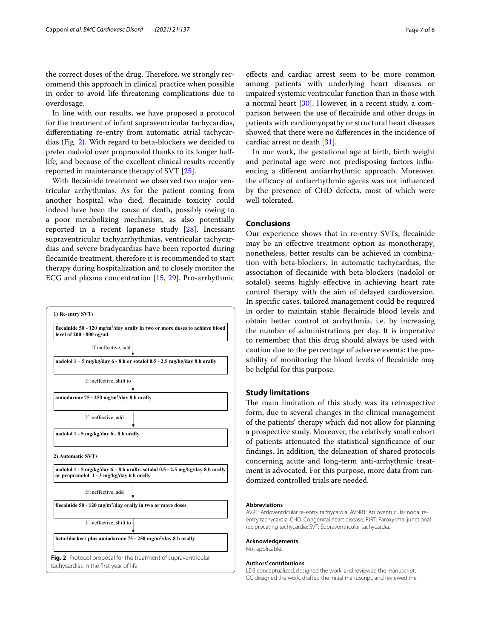the correct doses of the drug. Therefore, we strongly recommend this approach in clinical practice when possible in order to avoid life-threatening complications due to overdosage.

In line with our results, we have proposed a protocol for the treatment of infant supraventricular tachycardias, diferentiating re-entry from automatic atrial tachycardias (Fig. [2\)](#page-6-0). With regard to beta-blockers we decided to prefer nadolol over propranolol thanks to its longer halflife, and because of the excellent clinical results recently reported in maintenance therapy of SVT [[25\]](#page-7-23).

With fecainide treatment we observed two major ventricular arrhythmias. As for the patient coming from another hospital who died, fecainide toxicity could indeed have been the cause of death, possibly owing to a poor metabolizing mechanism, as also potentially reported in a recent Japanese study [\[28](#page-7-26)]. Incessant supraventricular tachyarrhythmias, ventricular tachycardias and severe bradycardias have been reported during fecainide treatment, therefore it is recommended to start therapy during hospitalization and to closely monitor the ECG and plasma concentration [\[15](#page-7-12), [29](#page-7-27)]. Pro-arrhythmic



efects and cardiac arrest seem to be more common among patients with underlying heart diseases or impaired systemic ventricular function than in those with a normal heart [[30](#page-7-28)]. However, in a recent study, a comparison between the use of fecainide and other drugs in patients with cardiomyopathy or structural heart diseases showed that there were no diferences in the incidence of cardiac arrest or death [[31\]](#page-7-29).

In our work, the gestational age at birth, birth weight and perinatal age were not predisposing factors infuencing a diferent antiarrhythmic approach. Moreover, the efficacy of antiarrhythmic agents was not influenced by the presence of CHD defects, most of which were well-tolerated.

### **Conclusions**

Our experience shows that in re-entry SVTs, fecainide may be an efective treatment option as monotherapy; nonetheless, better results can be achieved in combination with beta-blockers. In automatic tachycardias, the association of fecainide with beta-blockers (nadolol or sotalol) seems highly efective in achieving heart rate control therapy with the aim of delayed cardioversion. In specifc cases, tailored management could be required in order to maintain stable fecainide blood levels and obtain better control of arrhythmia, i.e. by increasing the number of administrations per day. It is imperative to remember that this drug should always be used with caution due to the percentage of adverse events: the possibility of monitoring the blood levels of fecainide may be helpful for this purpose.

#### **Study limitations**

The main limitation of this study was its retrospective form, due to several changes in the clinical management of the patients' therapy which did not allow for planning a prospective study. Moreover, the relatively small cohort of patients attenuated the statistical signifcance of our fndings. In addition, the delineation of shared protocols concerning acute and long-term anti-arrhythmic treatment is advocated. For this purpose, more data from randomized controlled trials are needed.

#### **Abbreviations**

AVRT: Atrioventricular re-entry tachycardia; AVNRT: Atrioventricular nodal reentry tachycardia; CHD: Congenital heart disease; PJRT: Paroxysmal junctional reciprocating tachycardia; SVT: Supraventricular tachycardia.

#### **Acknowledgements**

Not applicable.

#### <span id="page-6-0"></span>**Authors' contributions**

LDS conceptualized, designed the work, and reviewed the manuscript. GC designed the work, drafted the initial manuscript, and reviewed the